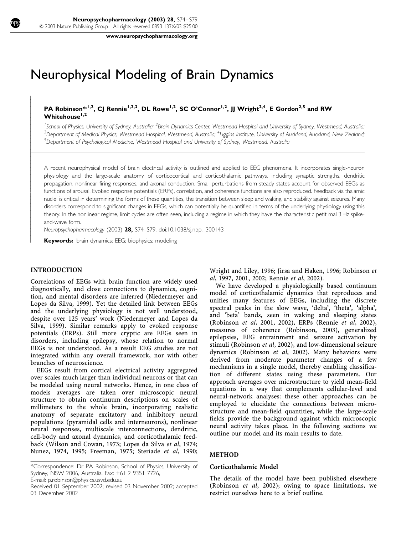www.neuropsychopharmacology.org

# Neurophysical Modeling of Brain Dynamics

PA Robinson\*,<sup>1,2</sup>, CJ Rennie<sup>1,2,3</sup>, DL Rowe<sup>1,2</sup>, SC O'Connor<sup>1,2</sup>, JJ Wright<sup>2,4</sup>, E Gordon<sup>2,5</sup> and RW  $Whitehouse<sup>1,2</sup>$ 

<sup>1</sup> School of Physics, University of Sydney, Australia; <sup>2</sup>Brain Dynamics Center, Westmead Hospital and University of Sydney, Westmead, Australia;  $^3$ Department of Medical Physics, Westmead Hospital, Westmead, Australia;  $^4$ Liggins Institute, University of Auckland, Auckland, New Zealand; 5 Department of Psychological Medicine, Westmead Hospital and University of Sydney, Westmead, Australia

A recent neurophysical model of brain electrical activity is outlined and applied to EEG phenomena. It incorporates single-neuron physiology and the large-scale anatomy of corticocortical and corticothalamic pathways, including synaptic strengths, dendritic propagation, nonlinear firing responses, and axonal conduction. Small perturbations from steady states account for observed EEGs as functions of arousal. Evoked response potentials (ERPs), correlation, and coherence functions are also reproduced. Feedback via thalamic nuclei is critical in determining the forms of these quantities, the transition between sleep and waking, and stability against seizures. Many disorders correspond to significant changes in EEGs, which can potentially be quantified in terms of the underlying physiology using this theory. In the nonlinear regime, limit cycles are often seen, including a regime in which they have the characteristic petit mal 3 Hz spikeand-wave form.

Neuropsychopharmacology (2003) 28, S74-S79. doi:10.1038/sj.npp.1300143

Keywords: brain dynamics; EEG; biophysics; modeling

# INTRODUCTION

ŕ I I I I I ł

ł ł I I I

I I I I ł

ł I I I

Correlations of EEGs with brain function are widely used diagnostically, and close connections to dynamics, cognition, and mental disorders are inferred (Niedermeyer and Lopes da Silva, 1999). Yet the detailed link between EEGs and the underlying physiology is not well understood, despite over 125 years' work (Niedermeyer and Lopes da Silva, 1999). Similar remarks apply to evoked response potentials (ERPs). Still more cryptic are EEGs seen in disorders, including epilepsy, whose relation to normal EEGs is not understood. As a result EEG studies are not integrated within any overall framework, nor with other branches of neuroscience.

EEGs result from cortical electrical activity aggregated over scales much larger than individual neurons or that can be modeled using neural networks. Hence, in one class of models averages are taken over microscopic neural structure to obtain continuum descriptions on scales of millimeters to the whole brain, incorporating realistic anatomy of separate excitatory and inhibitory neural populations (pyramidal cells and interneurons), nonlinear neural responses, multiscale interconnections, dendritic, cell-body and axonal dynamics, and corticothalamic feedback (Wilson and Cowan, 1973; Lopes da Silva et al, 1974; Nunez, 1974, 1995; Freeman, 1975; Steriade et al, 1990;

E-mail: p.robinson@physics.usvd.edu.au

Wright and Liley, 1996; Jirsa and Haken, 1996; Robinson et al, 1997, 2001, 2002; Rennie et al, 2002).

We have developed a physiologically based continuum model of corticothalamic dynamics that reproduces and unifies many features of EEGs, including the discrete spectral peaks in the slow wave, 'delta', 'theta', 'alpha', and 'beta' bands, seen in waking and sleeping states (Robinson et al, 2001, 2002), ERPs (Rennie et al, 2002), measures of coherence (Robinson, 2003), generalized epilepsies, EEG entrainment and seizure activation by stimuli (Robinson et al, 2002), and low-dimensional seizure dynamics (Robinson et al, 2002). Many behaviors were derived from moderate parameter changes of a few mechanisms in a single model, thereby enabling classification of different states using these parameters. Our approach averages over microstructure to yield mean-field equations in a way that complements cellular-level and neural-network analyses: these other approaches can be employed to elucidate the connections between microstructure and mean-field quantities, while the large-scale fields provide the background against which microscopic neural activity takes place. In the following sections we outline our model and its main results to date.

#### METHOD

#### Corticothalamic Model

The details of the model have been published elsewhere (Robinson et al, 2002); owing to space limitations, we restrict ourselves here to a brief outline.

<sup>\*</sup>Correspondence: Dr PA Robinson, School of Physics, University of Sydney, NSW 2006, Australia, Fax: +61 2 9351 7726,

Received 01 September 2002; revised 03 November 2002; accepted 03 December 2002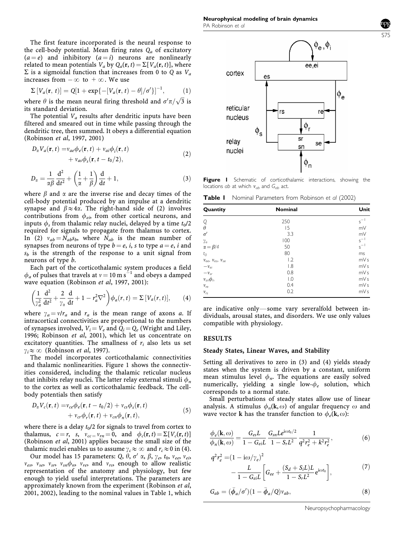The first feature incorporated is the neural response to the cell-body potential. Mean firing rates  $Q_a$  of excitatory  $(a = e)$  and inhibitory  $(a = i)$  neurons are nonlinearly related to mean potentials  $V_a$  by  $Q_a(\mathbf{r}, t) = \sum [V_a(\mathbf{r}, t)]$ , where  $\Sigma$  is a sigmoidal function that increases from 0 to Q as  $V_a$ increases from  $-\infty$  to  $+\infty$ . We use

$$
\Sigma[V_a(\mathbf{r}, t)] = Q[1 + \exp\{-[V_a(\mathbf{r}, t) - \theta]/\sigma'\}]^{-1}, \quad (1)
$$

where  $\theta$  is the mean neural firing threshold and  $\sigma' \pi / \sqrt{3}$  is its standard deviation.

The potential  $V_a$  results after dendritic inputs have been filtered and smeared out in time while passing through the dendritic tree, then summed. It obeys a differential equation (Robinson et al, 1997, 2001)

$$
D_{\alpha}V_{a}(\mathbf{r},t) = v_{ae}\phi_{e}(\mathbf{r},t) + v_{ai}\phi_{i}(\mathbf{r},t) + v_{as}\phi_{s}(\mathbf{r},t - t_{0}/2),
$$
\n(2)

$$
D_{\alpha} = \frac{1}{\alpha \beta} \frac{d^2}{dt^2} + \left(\frac{1}{\alpha} + \frac{1}{\beta}\right) \frac{d}{dt} + 1, \tag{3}
$$

where  $\beta$  and  $\alpha$  are the inverse rise and decay times of the cell-body potential produced by an impulse at a dendritic synapse and  $\beta \approx 4\alpha$ . The right-hand side of (2) involves contributions from  $\phi_{ei}$ , from other cortical neurons, and inputs  $\phi_s$  from thalamic relay nuclei, delayed by a time  $t_0/2$ required for signals to propagate from thalamus to cortex. In (2)  $v_{ab} = N_{ab} s_b$ , where  $N_{ab}$  is the mean number of synapses from neurons of type  $b = e$ , *i*, *s* to type  $a = e$ , *i* and  $s<sub>b</sub>$  is the strength of the response to a unit signal from neurons of type b.

Each part of the corticothalamic system produces a field  $\phi_a$  of pulses that travels at  $v = 10 \text{ m s}^{-1}$  and obeys a damped wave equation (Robinson et al, 1997, 2001):

$$
\left(\frac{1}{\gamma_a^2}\frac{d^2}{dt^2} + \frac{2}{\gamma_\alpha}\frac{d}{dt} + 1 - r_a^2 \nabla^2\right) \phi_a(r, t) = \Sigma \left[V_a(r, t)\right],\tag{4}
$$

where  $\gamma_a = v/r_a$  and  $r_a$  is the mean range of axons a. If intracortical connectivities are proportional to the numbers of synapses involved,  $V_i = V_e$  and  $Q_i = Q_e$  (Wright and Liley, 1996; Robinson et al, 2001), which let us concentrate on excitatory quantities. The smallness of  $r_i$  also lets us set  $\gamma_i \approx \infty$  (Robinson *et al*, 1997).

The model incorporates corticothalamic connectivities and thalamic nonlinearities. Figure 1 shows the connectivities considered, including the thalamic reticular nucleus that inhibits relay nuclei. The latter relay external stimuli  $\phi_n$ to the cortex as well as corticothalamic feedback. The cellbody potentials then satisfy

$$
D_{\alpha}V_c(\mathbf{r},t) = v_{ce}\phi_e(\mathbf{r},t-t_0/2) + v_{cs}\phi_s(\mathbf{r},t) + v_{cr}\phi_r(\mathbf{r},t) + v_{cn}\phi_n(\mathbf{r},t),
$$
\n(5)

where there is a delay  $t_0/2$  for signals to travel from cortex to thalamus,  $c = r$ , s,  $v_{cc} = v_{rn} = 0$ , and  $\phi_c(\mathbf{r}, t) = \Sigma [V_c(\mathbf{r}, t)]$ (Robinson et al, 2001) applies because the small size of the thalamic nuclei enables us to assume  $\gamma_c \approx \infty$  and  $r_c \approx 0$  in (4).

Our model has 15 parameters: Q,  $\theta$ ,  $\sigma'$   $\alpha$ ,  $\beta$ ,  $\gamma_e$ ,  $t_0$ ,  $v_{ee}$ ,  $v_{ei}$ ,  $v_{es}$ ,  $v_{se}$ ,  $v_{sn}$ ,  $v_{sn}\phi_n$ ,  $v_{re}$ , and  $v_{rs}$ , enough to allow realistic representation of the anatomy and physiology, but few enough to yield useful interpretations. The parameters are approximately known from the experiment (Robinson et al, 2001, 2002), leading to the nominal values in Table 1, which



Figure I Schematic of corticothalamic interactions, showing the locations ab at which  $v_{ab}$  and  $G_{ab}$  act.

**Table I** Nominal Parameters from Robinson et al (2002)

| Quantity                       | <b>Nominal</b>   | Unit                                                    |
|--------------------------------|------------------|---------------------------------------------------------|
|                                | 250              | $s^{-1}$                                                |
| $\frac{Q}{\theta}$             | 15               | mV                                                      |
| $\sigma'$                      | 3.3              |                                                         |
| $\gamma_e$                     | 100              | $\begin{array}{c}\nmV \\ s^{-1} \\ s^{-1}\n\end{array}$ |
| $\alpha = \beta/4$             | 50               |                                                         |
| $t_0$                          | 80               | ms                                                      |
| $v_{ee}$ , $v_{es}$ , $v_{se}$ | 1.2              | mVs                                                     |
| $-v_{ei}$                      | $\overline{1.8}$ | mVs                                                     |
| $-v_{sr}$                      | 0.8              | mVs                                                     |
| $v_{sn}\phi_n$                 | $\overline{1.0}$ | mVs                                                     |
| $v_{re}$                       | 0.4              | mVs                                                     |
| $v_{rs}$                       | 0.2              | mVs                                                     |

are indicative only—some vary severalfold between individuals, arousal states, and disorders. We use only values compatible with physiology.

#### RESULTS

#### Steady States, Linear Waves, and Stability

Setting all derivatives to zero in (3) and (4) yields steady states when the system is driven by a constant, uniform mean stimulus level  $\phi_n$ . The equations are easily solved numerically, yielding a single low- $\phi_e$  solution, which corresponds to a normal state.

Small perturbations of steady states allow use of linear analysis. A stimulus  $\phi_n(\mathbf{k}, \omega)$  of angular frequency  $\omega$  and wave vector **k** has the transfer function to  $\phi_e(\mathbf{k}, \omega)$ :

$$
\frac{\phi_e(\mathbf{k},\omega)}{\phi_n(\mathbf{k},\omega)} = \frac{G_{es}L}{1 - G_{ei}L} \frac{G_{sn}L e^{i\omega t_0/2}}{1 - S_r L^2} \frac{1}{q^2 r_e^2 + k^2 r_e^2},\tag{6}
$$

$$
q^{2}r_{e}^{2} = (1 - i\omega/\gamma_{e})^{2} - \frac{L}{1 - G_{ei}L} \left[ G_{ee} + \frac{(S_{d} + S_{i}L)L}{1 - S_{r}L^{2}} e^{i\omega t_{0}} \right],
$$
 (7)

$$
G_{ab} = (\bar{\phi}_a/\sigma')(1 - \bar{\phi}_a/Q)v_{ab}, \qquad (8)
$$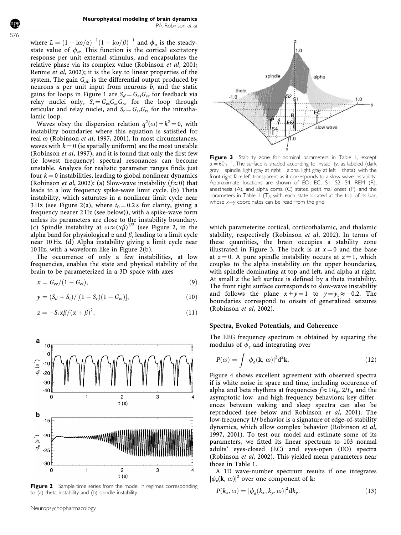where  $L = (1 - i\omega/\alpha)^{-1}(1 - i\omega/\beta)^{-1}$  and  $\bar{\phi}_a$  is the steadystate value of  $\phi_a$ . This function is the cortical excitatory response per unit external stimulus, and encapsulates the relative phase via its complex value (Robinson et al, 2001; Rennie et al, 2002); it is the key to linear properties of the system. The gain  $G_{ab}$  is the differential output produced by neurons  $a$  per unit input from neurons  $b$ , and the static gains for loops in Figure 1 are  $S_d = G_{es}G_{se}$  for feedback via relay nuclei only,  $S_i = G_{es} G_{sr} G_{re}$  for the loop through reticular and relay nuclei, and  $S_r = G_{sr}G_{rs}$  for the intrathalamic loop.

Waves obey the dispersion relation  $q^2(\omega) + k^2 = 0$ , with instability boundaries where this equation is satisfied for real  $\omega$  (Robinson et al, 1997, 2001). In most circumstances, waves with  $k = 0$  (ie spatially uniform) are the most unstable (Robinson et al, 1997), and it is found that only the first few (ie lowest frequency) spectral resonances can become unstable. Analysis for realistic parameter ranges finds just four  $k = 0$  instabilities, leading to global nonlinear dynamics (Robinson *et al*, 2002): (a) Slow-wave instability ( $f \approx 0$ ) that leads to a low frequency spike-wave limit cycle. (b) Theta instability, which saturates in a nonlinear limit cycle near 3 Hz (see Figure 2(a), where  $t_0 = 0.2$  s for clarity, giving a frequency nearer 2 Hz (see below)), with a spike-wave form unless its parameters are close to the instability boundary. (c) Spindle instability at  $\omega \approx (\alpha \beta)^{1/2}$  (see Figure 2, in the alpha band for physiological  $\alpha$  and  $\beta$ , leading to a limit cycle near 10 Hz. (d) Alpha instability giving a limit cycle near 10 Hz, with a waveform like in Figure 2(b).

The occurrence of only a few instabilities, at low frequencies, enables the state and physical stability of the brain to be parameterized in a 3D space with axes

$$
x = G_{ee}/(1 - G_{ei}), \tag{9}
$$

$$
y = (S_d + S_i) / [(1 - S_r)(1 - G_{ei})],
$$
\n(10)

$$
z = -S_r \alpha \beta / (\alpha + \beta)^2, \qquad (11)
$$



Figure 2 Sample time series from the model in regimes corresponding to (a) theta instability and (b) spindle instability.

 $1.0$ spindle alpha theta  $-1.0$ slow wave

Figure 3 Stability zone for nominal parameters in Table 1, except  $\alpha = 60 \,\mathrm{s}^{-1}$ . The surface is shaded according to instability, as labeled (dark  $gray =$  spindle, light gray at right  $=$  alpha, light gray at left  $=$  theta), with the front right face left transparent as it corresponds to a slow-wave instability. Approximate locations are shown of EO, EC, S1, S2, S4, REM (R), anesthesia (A), and alpha coma (C) states, petit mal onset (P), and the parameters in Table 1 (T), with each state located at the top of its bar, whose  $x-y$  coordinates can be read from the grid.

which parameterize cortical, corticothalamic, and thalamic stability, respectively (Robinson et al, 2002). In terms of these quantities, the brain occupies a stability zone illustrated in Figure 3. The back is at  $x = 0$  and the base at  $z = 0$ . A pure spindle instability occurs at  $z = 1$ , which couples to the alpha instability on the upper boundaries, with spindle dominating at top and left, and alpha at right. At small z the left surface is defined by a theta instability. The front right surface corresponds to slow-wave instability and follows the plane  $x+y=1$  to  $y=y_c\approx -0.2$ . The boundaries correspond to onsets of generalized seizures (Robinson et al, 2002).

#### Spectra, Evoked Potentials, and Coherence

The EEG frequency spectrum is obtained by squaring the modulus of  $\phi_e$  and integrating over

$$
P(\omega) = \int |\phi_e(\mathbf{k}, \,\omega)|^2 d^2 \mathbf{k}.\tag{12}
$$

Figure 4 shows excellent agreement with observed spectra if is white noise in space and time, including occurence of alpha and beta rhythms at frequencies  $f \approx 1/t_0$ ,  $2/t_0$ , and the asymptotic low- and high-frequency behaviors; key differences between waking and sleep spectra can also be reproduced (see below and Robinson et al, 2001). The low-frequency 1/f behavior is a signature of edge-of-stability dynamics, which allow complex behavior (Robinson et al, 1997, 2001). To test our model and estimate some of its parameters, we fitted its linear spectrum to 103 normal adults' eyes-closed (EC) and eyes-open (EO) spectra (Robinson et al, 2002). This yielded mean parameters near those in Table 1.

A 1D wave-number spectrum results if one integrates  $|\phi_e(\mathbf{k}, \omega)|^2$  over one component of **k**:

$$
P(k_x, \omega) = |\phi_e(k_x, k_y, \omega)|^2 dk_y.
$$
 (13)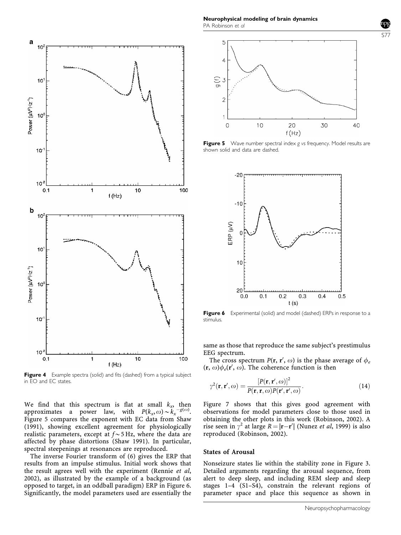

Figure 4 Example spectra (solid) and fits (dashed) from a typical subject in EO and EC states.

We find that this spectrum is flat at small  $k_x$ , then approximates a power law, with  $P(k_x, \omega) \sim \widetilde{k}_x^{-g(\omega)}$ . Figure 5 compares the exponent with EC data from Shaw (1991), showing excellent agreement for physiologically realistic parameters, except at  $f \sim 5$  Hz, where the data are affected by phase distortions (Shaw 1991). In particular, spectral steepenings at resonances are reproduced.

The inverse Fourier transform of (6) gives the ERP that results from an impulse stimulus. Initial work shows that the result agrees well with the experiment (Rennie et al, 2002), as illustrated by the example of a background (as opposed to target, in an oddball paradigm) ERP in Figure 6. Significantly, the model parameters used are essentially the

Neurophysical modeling of brain dynamics PA Robinson et al



Figure 5 Wave number spectral index g vs frequency. Model results are shown solid and data are dashed.



Figure 6 Experimental (solid) and model (dashed) ERPs in response to a stimulus.

same as those that reproduce the same subject's prestimulus EEG spectrum.

The cross spectrum  $P(\mathbf{r}, \mathbf{r}', \omega)$  is the phase average of  $\phi_e$  $(\mathbf{r}, \omega)\phi_e(\mathbf{r}', \omega)$ . The coherence function is then

$$
\gamma^{2}(\mathbf{r}, \mathbf{r}', \omega) = \frac{[P(\mathbf{r}, \mathbf{r}', \omega)]^{2}}{P(\mathbf{r}, \mathbf{r}, \omega)P(\mathbf{r}', \mathbf{r}', \omega)}.
$$
(14)

Figure 7 shows that this gives good agreement with observations for model parameters close to those used in obtaining the other plots in this work (Robinson, 2002). A rise seen in  $\gamma^2$  at large  $R = |{\bf r} - {\bf r}'|$  (Nunez *et al*, 1999) is also reproduced (Robinson, 2002).

## States of Arousal

Nonseizure states lie within the stability zone in Figure 3. Detailed arguments regarding the arousal sequence, from alert to deep sleep, and including REM sleep and sleep stages 1–4 (S1–S4), constrain the relevant regions of parameter space and place this sequence as shown in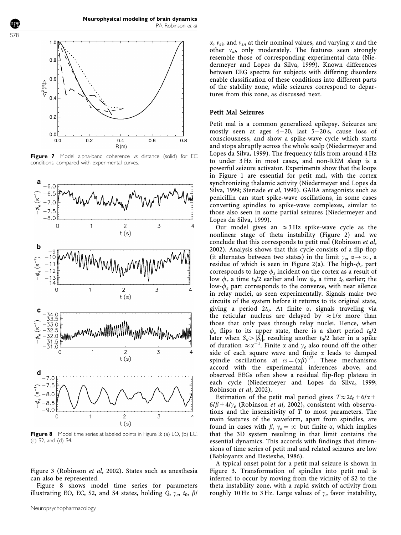

Figure 7 Model alpha-band coherence vs distance (solid) for EC conditions, compared with experimental curves.



Figure 8 Model time series at labeled points in Figure 3: (a) EO, (b) EC, (c) S2, and (d) S4.

Figure 3 (Robinson et al, 2002). States such as anesthesia can also be represented.

Figure 8 shows model time series for parameters illustrating EO, EC, S2, and S4 states, holding  $\overline{Q}$ ,  $\gamma_e$ ,  $t_0$ ,  $\beta$ /  $\alpha$ ,  $v_{ei}$ , and  $v_{sn}$  at their nominal values, and varying  $\alpha$  and the other  $v_{ab}$  only moderately. The features seen strongly resemble those of corresponding experimental data (Niedermeyer and Lopes da Silva, 1999). Known differences between EEG spectra for subjects with differing disorders enable classification of these conditions into different parts of the stability zone, while seizures correspond to departures from this zone, as discussed next.

#### Petit Mal Seizures

Petit mal is a common generalized epilepsy. Seizures are mostly seen at ages 4-20, last 5-20 s, cause loss of consciousness, and show a spike-wave cycle which starts and stops abruptly across the whole scalp (Niedermeyer and Lopes da Silva, 1999). The frequency falls from around 4 Hz to under 3 Hz in most cases, and non-REM sleep is a powerful seizure activator. Experiments show that the loops in Figure 1 are essential for petit mal, with the cortex synchronizing thalamic activity (Niedermeyer and Lopes da Silva, 1999; Steriade et al, 1990). GABA antagonists such as penicillin can start spike-wave oscillations, in some cases converting spindles to spike-wave complexes, similar to those also seen in some partial seizures (Niedermeyer and Lopes da Silva, 1999).

Our model gives an  $\approx$  3 Hz spike-wave cycle as the nonlinear stage of theta instability (Figure 2) and we conclude that this corresponds to petit mal (Robinson et al, 2002). Analysis shows that this cycle consists of a flip-flop (it alternates between two states) in the limit  $\gamma_e$ ,  $\alpha \rightarrow \infty$ , a residue of which is seen in Figure 2(a). The high- $\phi_e$  part corresponds to large  $\phi_s$  incident on the cortex as a result of low  $\phi_r$  a time  $t_0/2$  earlier and low  $\phi_e$  a time  $t_0$  earlier; the low- $\phi_e$  part corresponds to the converse, with near silence in relay nuclei, as seen experimentally. Signals make two circuits of the system before it returns to its original state, giving a period  $2t_0$ . At finite  $\alpha$ , signals traveling via the reticular nucleus are delayed by  $\approx 1/\alpha$  more than those that only pass through relay nuclei. Hence, when  $\phi_e$  flips to its upper state, there is a short period  $t_0/2$ later when  $S_d > |\overline{S_i}|$ , resulting another  $t_0/2$  later in a spike of duration  $\approx \alpha^{-1}$ . Finite  $\alpha$  and  $\gamma_e$  also round off the other side of each square wave and finite  $\alpha$  leads to damped spindle oscillations at  $\omega = (\alpha \beta)^{1/2}$ . These mechanisms accord with the experimental inferences above, and observed EEGs often show a residual flip-flop plateau in each cycle (Niedermeyer and Lopes da Silva, 1999; Robinson et al, 2002).

Estimation of the petit mal period gives  $T \approx 2t_0+6/\alpha$ +  $6/\beta + 4/\gamma_e$  (Robinson *et al*, 2002), consistent with observations and the insensitivity of T to most parameters. The main features of the waveform, apart from spindles, are found in cases with  $\beta$ ,  $\gamma_e = \infty$  but finite  $\alpha$ , which implies that the 3D system resulting in that limit contains the essential dynamics. This accords with findings that dimensions of time series of petit mal and related seizures are low (Babloyantz and Destexhe, 1986).

A typical onset point for a petit mal seizure is shown in Figure 3. Transformation of spindles into petit mal is inferred to occur by moving from the vicinity of S2 to the theta instability zone, with a rapid switch of activity from roughly 10 Hz to 3 Hz. Large values of  $\gamma_e$  favor instability,